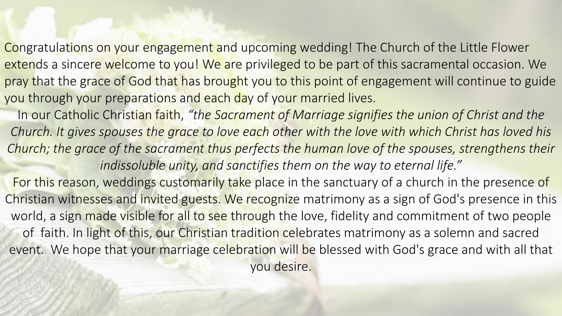Congratulations on your engagement and upcoming wedding! The Church of the Little Flower extends a sincere welcome to you! We are privileged to be part of this sacramental occasion. We pray that the grace of God that has brought you to this point of engagement will continue to guide you through your preparations and each day of your married lives.

In our Catholic Christian faith, *"the Sacrament of Marriage signifies the union of Christ and the Church. It gives spouses the grace to love each other with the love with which Christ has loved his Church; the grace of the sacrament thus perfects the human love of the spouses, strengthens their indissoluble unity, and sanctifies them on the way to eternal life."* 

For this reason, weddings customarily take place in the sanctuary of a church in the presence of Christian witnesses and invited guests. We recognize matrimony as a sign of God's presence in this world, a sign made visible for all to see through the love, fidelity and commitment of two people of faith. In light of this, our Christian tradition celebrates matrimony as a solemn and sacred event. We hope that your marriage celebration will be blessed with God's grace and with all that you desire.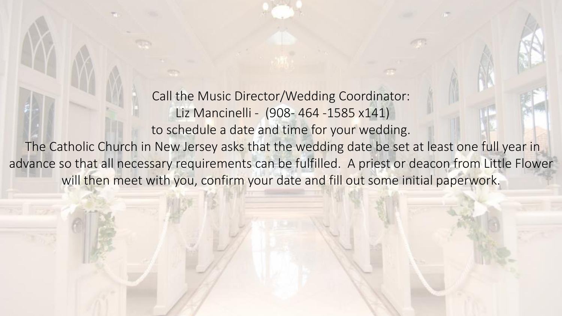Call the Music Director/Wedding Coordinator: Liz Mancinelli - (908- 464 -1585 x141) to schedule a date and time for your wedding. The Catholic Church in New Jersey asks that the wedding date be set at least one full year in advance so that all necessary requirements can be fulfilled. A priest or deacon from Little Flower will then meet with you, confirm your date and fill out some initial paperwork.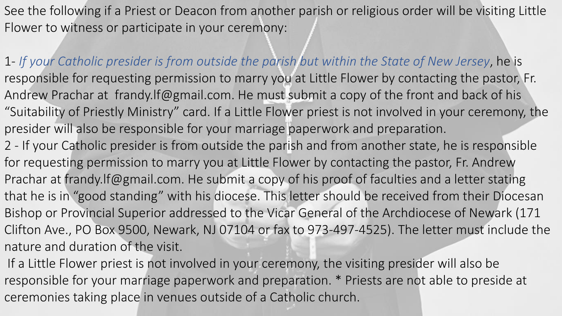See the following if a Priest or Deacon from another parish or religious order will be visiting Little Flower to witness or participate in your ceremony:

1- *If your Catholic presider is from outside the parish but within the State of New Jersey*, he is responsible for requesting permission to marry you at Little Flower by contacting the pastor, Fr. Andrew Prachar at frandy.lf@gmail.com. He must submit a copy of the front and back of his "Suitability of Priestly Ministry" card. If a Little Flower priest is not involved in your ceremony, the presider will also be responsible for your marriage paperwork and preparation. 2 - If your Catholic presider is from outside the parish and from another state, he is responsible for requesting permission to marry you at Little Flower by contacting the pastor, Fr. Andrew Prachar at frandy.lf@gmail.com. He submit a copy of his proof of faculties and a letter stating that he is in "good standing" with his diocese. This letter should be received from their Diocesan Bishop or Provincial Superior addressed to the Vicar General of the Archdiocese of Newark (171 Clifton Ave., PO Box 9500, Newark, NJ 07104 or fax to 973-497-4525). The letter must include the nature and duration of the visit.

If a Little Flower priest is not involved in your ceremony, the visiting presider will also be responsible for your marriage paperwork and preparation. \* Priests are not able to preside at ceremonies taking place in venues outside of a Catholic church.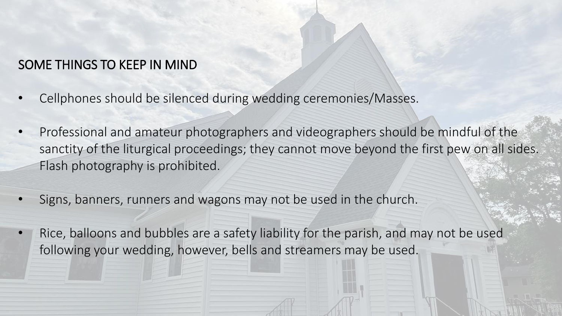## SOME THINGS TO KEEP IN MIND

- Cellphones should be silenced during wedding ceremonies/Masses.
- Professional and amateur photographers and videographers should be mindful of the sanctity of the liturgical proceedings; they cannot move beyond the first pew on all sides. Flash photography is prohibited.
- Signs, banners, runners and wagons may not be used in the church.
- Rice, balloons and bubbles are a safety liability for the parish, and may not be used following your wedding, however, bells and streamers may be used.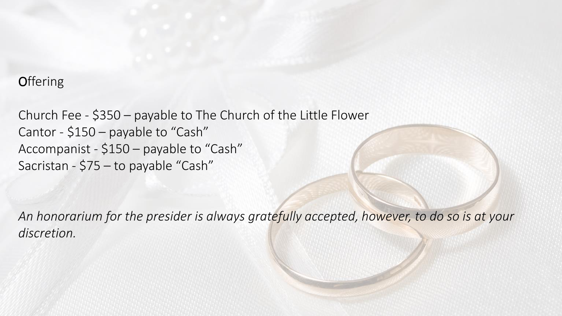## **Offering**

Church Fee - \$350 – payable to The Church of the Little Flower Cantor - \$150 – payable to "Cash" Accompanist - \$150 – payable to "Cash" Sacristan - \$75 – to payable "Cash"

*An honorarium for the presider is always gratefully accepted, however, to do so is at your discretion.*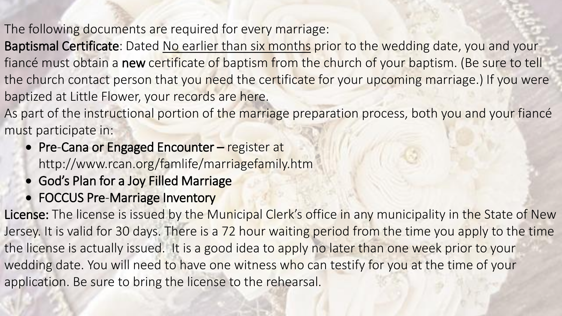The following documents are required for every marriage:

Baptismal Certificate: Dated No earlier than six months prior to the wedding date, you and your fiancé must obtain a new certificate of baptism from the church of your baptism. (Be sure to tell the church contact person that you need the certificate for your upcoming marriage.) If you were baptized at Little Flower, your records are here.

As part of the instructional portion of the marriage preparation process, both you and your fiance must participate in:

- Pre-Cana or Engaged Encounter register at http://www.rcan.org/famlife/marriagefamily.htm
- God's Plan for a Joy Filled Marriage
- FOCCUS Pre-Marriage Inventory

License: The license is issued by the Municipal Clerk's office in any municipality in the State of New Jersey. It is valid for 30 days. There is a 72 hour waiting period from the time you apply to the time the license is actually issued. It is a good idea to apply no later than one week prior to your wedding date. You will need to have one witness who can testify for you at the time of your application. Be sure to bring the license to the rehearsal.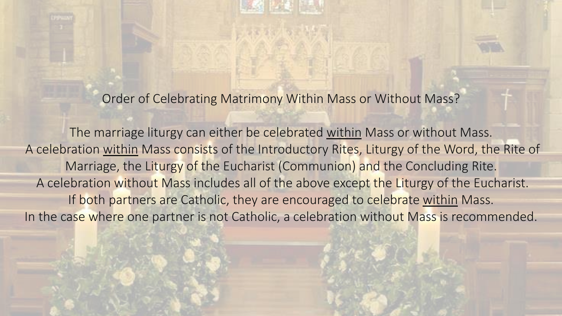Order of Celebrating Matrimony Within Mass or Without Mass?

The marriage liturgy can either be celebrated within Mass or without Mass. A celebration within Mass consists of the Introductory Rites, Liturgy of the Word, the Rite of Marriage, the Liturgy of the Eucharist (Communion) and the Concluding Rite. A celebration without Mass includes all of the above except the Liturgy of the Eucharist. If both partners are Catholic, they are encouraged to celebrate within Mass. In the case where one partner is not Catholic, a celebration without Mass is recommended.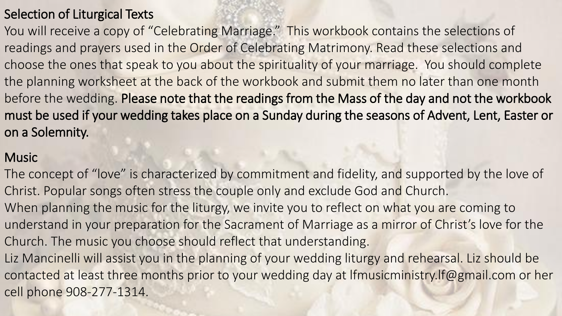# Selection of Liturgical Texts

You will receive a copy of "Celebrating Marriage." This workbook contains the selections of readings and prayers used in the Order of Celebrating Matrimony. Read these selections and choose the ones that speak to you about the spirituality of your marriage. You should complete the planning worksheet at the back of the workbook and submit them no later than one month before the wedding. Please note that the readings from the Mass of the day and not the workbook must be used if your wedding takes place on a Sunday during the seasons of Advent, Lent, Easter or on a Solemnity.

#### **Music**

The concept of "love" is characterized by commitment and fidelity, and supported by the love of Christ. Popular songs often stress the couple only and exclude God and Church. When planning the music for the liturgy, we invite you to reflect on what you are coming to understand in your preparation for the Sacrament of Marriage as a mirror of Christ's love for the Church. The music you choose should reflect that understanding. Liz Mancinelli will assist you in the planning of your wedding liturgy and rehearsal. Liz should be contacted at least three months prior to your wedding day at lfmusicministry.lf@gmail.com or her cell phone 908-277-1314.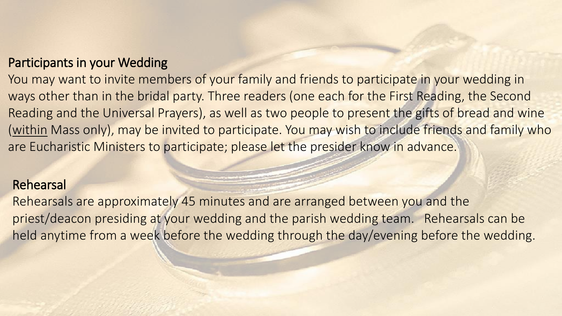### Participants in your Wedding

You may want to invite members of your family and friends to participate in your wedding in ways other than in the bridal party. Three readers (one each for the First Reading, the Second Reading and the Universal Prayers), as well as two people to present the gifts of bread and wine (within Mass only), may be invited to participate. You may wish to include friends and family who are Eucharistic Ministers to participate; please let the presider know in advance.

#### Rehearsal

Rehearsals are approximately 45 minutes and are arranged between you and the priest/deacon presiding at your wedding and the parish wedding team. Rehearsals can be held anytime from a week before the wedding through the day/evening before the wedding.